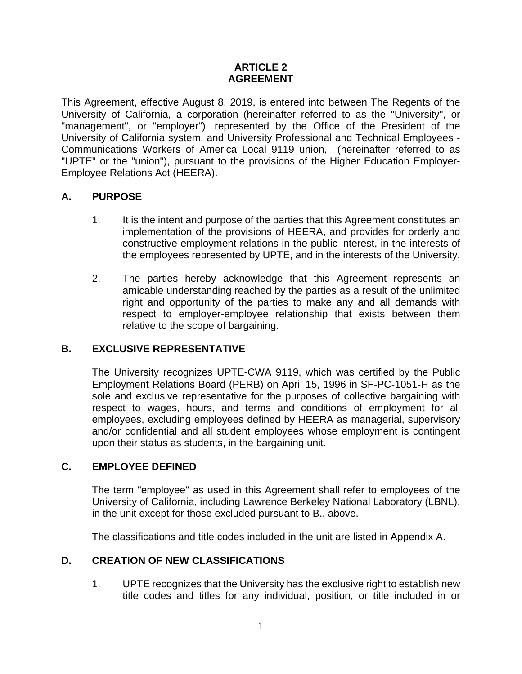### **ARTICLE 2 AGREEMENT**

This Agreement, effective August 8, 2019, is entered into between The Regents of the University of California, a corporation (hereinafter referred to as the "University", or "management", or "employer"), represented by the Office of the President of the University of California system, and University Professional and Technical Employees - Communications Workers of America Local 9119 union, (hereinafter referred to as "UPTE" or the "union"), pursuant to the provisions of the Higher Education Employer-Employee Relations Act (HEERA).

## **A. PURPOSE**

- 1. It is the intent and purpose of the parties that this Agreement constitutes an implementation of the provisions of HEERA, and provides for orderly and constructive employment relations in the public interest, in the interests of the employees represented by UPTE, and in the interests of the University.
- 2. The parties hereby acknowledge that this Agreement represents an amicable understanding reached by the parties as a result of the unlimited right and opportunity of the parties to make any and all demands with respect to employer-employee relationship that exists between them relative to the scope of bargaining.

### **B. EXCLUSIVE REPRESENTATIVE**

The University recognizes UPTE-CWA 9119, which was certified by the Public Employment Relations Board (PERB) on April 15, 1996 in SF-PC-1051-H as the sole and exclusive representative for the purposes of collective bargaining with respect to wages, hours, and terms and conditions of employment for all employees, excluding employees defined by HEERA as managerial, supervisory and/or confidential and all student employees whose employment is contingent upon their status as students, in the bargaining unit.

### **C. EMPLOYEE DEFINED**

The term "employee" as used in this Agreement shall refer to employees of the University of California, including Lawrence Berkeley National Laboratory (LBNL), in the unit except for those excluded pursuant to B., above.

The classifications and title codes included in the unit are listed in Appendix A.

## **D. CREATION OF NEW CLASSIFICATIONS**

1. UPTE recognizes that the University has the exclusive right to establish new title codes and titles for any individual, position, or title included in or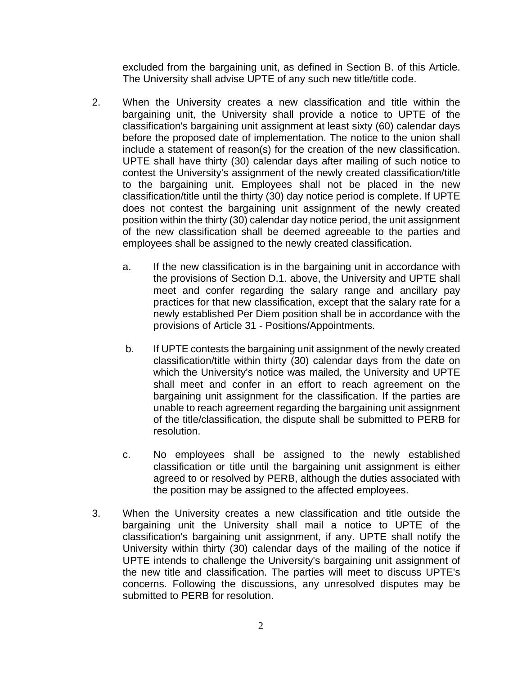excluded from the bargaining unit, as defined in Section B. of this Article. The University shall advise UPTE of any such new title/title code.

- 2. When the University creates a new classification and title within the bargaining unit, the University shall provide a notice to UPTE of the classification's bargaining unit assignment at least sixty (60) calendar days before the proposed date of implementation. The notice to the union shall include a statement of reason(s) for the creation of the new classification. UPTE shall have thirty (30) calendar days after mailing of such notice to contest the University's assignment of the newly created classification/title to the bargaining unit. Employees shall not be placed in the new classification/title until the thirty (30) day notice period is complete. If UPTE does not contest the bargaining unit assignment of the newly created position within the thirty (30) calendar day notice period, the unit assignment of the new classification shall be deemed agreeable to the parties and employees shall be assigned to the newly created classification.
	- a. If the new classification is in the bargaining unit in accordance with the provisions of Section D.1. above, the University and UPTE shall meet and confer regarding the salary range and ancillary pay practices for that new classification, except that the salary rate for a newly established Per Diem position shall be in accordance with the provisions of Article 31 - Positions/Appointments.
	- b. If UPTE contests the bargaining unit assignment of the newly created classification/title within thirty (30) calendar days from the date on which the University's notice was mailed, the University and UPTE shall meet and confer in an effort to reach agreement on the bargaining unit assignment for the classification. If the parties are unable to reach agreement regarding the bargaining unit assignment of the title/classification, the dispute shall be submitted to PERB for resolution.
	- c. No employees shall be assigned to the newly established classification or title until the bargaining unit assignment is either agreed to or resolved by PERB, although the duties associated with the position may be assigned to the affected employees.
- 3. When the University creates a new classification and title outside the bargaining unit the University shall mail a notice to UPTE of the classification's bargaining unit assignment, if any. UPTE shall notify the University within thirty (30) calendar days of the mailing of the notice if UPTE intends to challenge the University's bargaining unit assignment of the new title and classification. The parties will meet to discuss UPTE's concerns. Following the discussions, any unresolved disputes may be submitted to PERB for resolution.